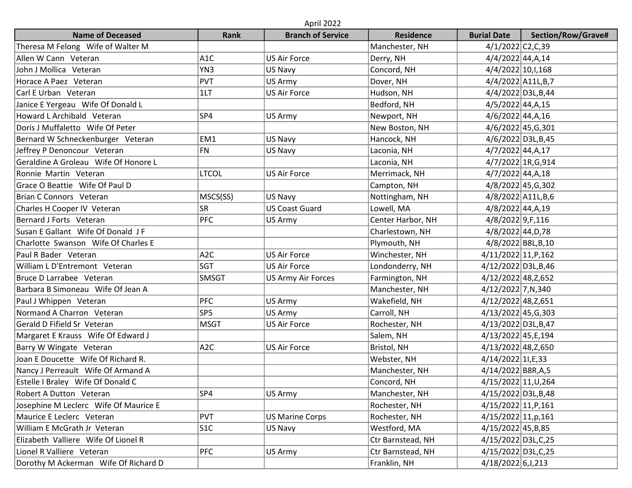| April 2022                            |                  |                           |                   |                      |                     |  |  |  |
|---------------------------------------|------------------|---------------------------|-------------------|----------------------|---------------------|--|--|--|
| <b>Name of Deceased</b>               | Rank             | <b>Branch of Service</b>  | <b>Residence</b>  | <b>Burial Date</b>   | Section/Row/Grave#  |  |  |  |
| Theresa M Felong Wife of Walter M     |                  |                           | Manchester, NH    | 4/1/2022 C2, C, 39   |                     |  |  |  |
| Allen W Cann Veteran                  | A <sub>1</sub> C | <b>US Air Force</b>       | Derry, NH         | 4/4/2022 44, A, 14   |                     |  |  |  |
| John J Mollica Veteran                | YN3              | US Navy                   | Concord, NH       | 4/4/2022 10, 1, 168  |                     |  |  |  |
| Horace A Paez Veteran                 | <b>PVT</b>       | US Army                   | Dover, NH         |                      | 4/4/2022 A11L,B,7   |  |  |  |
| Carl E Urban Veteran                  | 1LT              | <b>US Air Force</b>       | Hudson, NH        |                      | 4/4/2022 D3L, B, 44 |  |  |  |
| Janice E Yergeau Wife Of Donald L     |                  |                           | Bedford, NH       | 4/5/2022 44, A, 15   |                     |  |  |  |
| Howard L Archibald Veteran            | SP4              | US Army                   | Newport, NH       | 4/6/2022 44, A, 16   |                     |  |  |  |
| Doris J Muffaletto Wife Of Peter      |                  |                           | New Boston, NH    |                      | 4/6/2022 45, G, 301 |  |  |  |
| Bernard W Schneckenburger Veteran     | EM1              | US Navy                   | Hancock, NH       |                      | 4/6/2022 D3L, B, 45 |  |  |  |
| Jeffrey P Denoncour Veteran           | FN               | US Navy                   | Laconia, NH       | $4/7/2022$ 44, A, 17 |                     |  |  |  |
| Geraldine A Groleau Wife Of Honore L  |                  |                           | Laconia, NH       |                      | 4/7/2022 1R, G, 914 |  |  |  |
| Ronnie Martin Veteran                 | <b>LTCOL</b>     | <b>US Air Force</b>       | Merrimack, NH     | $4/7/2022$ 44, A, 18 |                     |  |  |  |
| Grace O Beattie Wife Of Paul D        |                  |                           | Campton, NH       |                      | 4/8/2022 45, G, 302 |  |  |  |
| Brian C Connors Veteran               | MSCS(SS)         | US Navy                   | Nottingham, NH    |                      | 4/8/2022 A11L, B, 6 |  |  |  |
| Charles H Cooper IV Veteran           | SR               | <b>US Coast Guard</b>     | Lowell, MA        | 4/8/2022 44, A, 19   |                     |  |  |  |
| Bernard J Forts Veteran               | <b>PFC</b>       | US Army                   | Center Harbor, NH | 4/8/2022 9, F, 116   |                     |  |  |  |
| Susan E Gallant Wife Of Donald JF     |                  |                           | Charlestown, NH   | 4/8/2022 44, D, 78   |                     |  |  |  |
| Charlotte Swanson Wife Of Charles E   |                  |                           | Plymouth, NH      |                      | 4/8/2022 B8L, B, 10 |  |  |  |
| Paul R Bader Veteran                  | A <sub>2</sub> C | <b>US Air Force</b>       | Winchester, NH    | 4/11/2022 11, P, 162 |                     |  |  |  |
| William L D'Entremont Veteran         | SGT              | <b>US Air Force</b>       | Londonderry, NH   | 4/12/2022 D3L, B, 46 |                     |  |  |  |
| Bruce D Larrabee Veteran              | <b>SMSGT</b>     | <b>US Army Air Forces</b> | Farmington, NH    | 4/12/2022 48, Z, 652 |                     |  |  |  |
| Barbara B Simoneau Wife Of Jean A     |                  |                           | Manchester, NH    | 4/12/2022 7, N, 340  |                     |  |  |  |
| Paul J Whippen Veteran                | <b>PFC</b>       | US Army                   | Wakefield, NH     | 4/12/2022 48, Z, 651 |                     |  |  |  |
| Normand A Charron Veteran             | SP <sub>5</sub>  | US Army                   | Carroll, NH       | 4/13/2022 45, G, 303 |                     |  |  |  |
| Gerald D Fifield Sr Veteran           | <b>MSGT</b>      | <b>US Air Force</b>       | Rochester, NH     | 4/13/2022 D3L, B, 47 |                     |  |  |  |
| Margaret E Krauss Wife Of Edward J    |                  |                           | Salem, NH         | 4/13/2022 45, E, 194 |                     |  |  |  |
| Barry W Wingate Veteran               | A <sub>2</sub> C | <b>US Air Force</b>       | Bristol, NH       | 4/13/2022 48, Z, 650 |                     |  |  |  |
| Joan E Doucette Wife Of Richard R.    |                  |                           | Webster, NH       | 4/14/2022 11, E, 33  |                     |  |  |  |
| Nancy J Perreault Wife Of Armand A    |                  |                           | Manchester, NH    | 4/14/2022 B8R,A,5    |                     |  |  |  |
| Estelle I Braley Wife Of Donald C     |                  |                           | Concord, NH       | 4/15/2022 11, U, 264 |                     |  |  |  |
| <b>Robert A Dutton Veteran</b>        | SP4              | US Army                   | Manchester, NH    | 4/15/2022 D3L, B, 48 |                     |  |  |  |
| Josephine M Leclerc Wife Of Maurice E |                  |                           | Rochester, NH     | 4/15/2022 11, P, 161 |                     |  |  |  |
| Maurice E Leclerc Veteran             | <b>PVT</b>       | <b>US Marine Corps</b>    | Rochester, NH     | 4/15/2022 11, p, 161 |                     |  |  |  |
| William E McGrath Jr Veteran          | S1C              | US Navy                   | Westford, MA      | 4/15/2022 45, B, 85  |                     |  |  |  |
| Elizabeth Valliere Wife Of Lionel R   |                  |                           | Ctr Barnstead, NH | 4/15/2022 D3L, C, 25 |                     |  |  |  |
| Lionel R Valliere Veteran             | <b>PFC</b>       | US Army                   | Ctr Barnstead, NH | 4/15/2022 D3L, C, 25 |                     |  |  |  |
| Dorothy M Ackerman Wife Of Richard D  |                  |                           | Franklin, NH      | 4/18/2022 6, J, 213  |                     |  |  |  |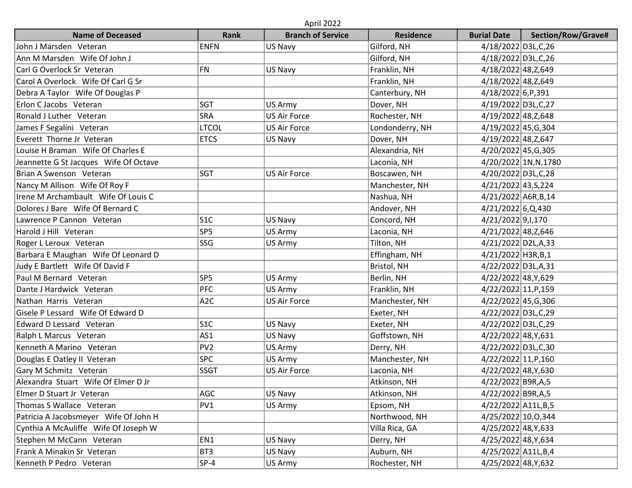| April 2022                            |                  |                          |                  |                      |                       |  |  |
|---------------------------------------|------------------|--------------------------|------------------|----------------------|-----------------------|--|--|
| <b>Name of Deceased</b>               | <b>Rank</b>      | <b>Branch of Service</b> | <b>Residence</b> | <b>Burial Date</b>   | Section/Row/Grave#    |  |  |
| John J Marsden Veteran                | <b>ENFN</b>      | US Navy                  | Gilford, NH      | 4/18/2022 D3L, C, 26 |                       |  |  |
| Ann M Marsden Wife Of John J          |                  |                          | Gilford, NH      | 4/18/2022 D3L, C, 26 |                       |  |  |
| Carl G Overlock Sr Veteran            | <b>FN</b>        | US Navy                  | Franklin, NH     | 4/18/2022 48, Z, 649 |                       |  |  |
| Carol A Overlock Wife Of Carl G Sr    |                  |                          | Franklin, NH     | 4/18/2022 48, Z, 649 |                       |  |  |
| Debra A Taylor Wife Of Douglas P      |                  |                          | Canterbury, NH   | 4/18/2022 6, P, 391  |                       |  |  |
| Erlon C Jacobs Veteran                | SGT              | US Army                  | Dover, NH        | 4/19/2022 D3L, C, 27 |                       |  |  |
| Ronald J Luther Veteran               | <b>SRA</b>       | <b>US Air Force</b>      | Rochester, NH    | 4/19/2022 48, Z, 648 |                       |  |  |
| James F Segalini Veteran              | <b>LTCOL</b>     | <b>US Air Force</b>      | Londonderry, NH  | 4/19/2022 45, G, 304 |                       |  |  |
| Everett Thorne Jr Veteran             | <b>ETCS</b>      | US Navy                  | Dover, NH        | 4/19/2022 48, Z, 647 |                       |  |  |
| Louise H Braman Wife Of Charles E     |                  |                          | Alexandria, NH   | 4/20/2022 45, G, 305 |                       |  |  |
| Jeannette G St Jacques Wife Of Octave |                  |                          | Laconia, NH      |                      | 4/20/2022 1N, N, 1780 |  |  |
| Brian A Swenson Veteran               | SGT              | <b>US Air Force</b>      | Boscawen, NH     | 4/20/2022 D3L, C, 28 |                       |  |  |
| Nancy M Allison Wife Of Roy F         |                  |                          | Manchester, NH   | 4/21/2022 43, S, 224 |                       |  |  |
| Irene M Archambault Wife Of Louis C   |                  |                          | Nashua, NH       | 4/21/2022 A6R, B, 14 |                       |  |  |
| Dolores J Bare Wife Of Bernard C      |                  |                          | Andover, NH      | 4/21/2022 6, Q, 430  |                       |  |  |
| Lawrence P Cannon Veteran             | S1C              | US Navy                  | Concord, NH      | 4/21/2022 9, 1, 170  |                       |  |  |
| Harold J Hill Veteran                 | SP <sub>5</sub>  | US Army                  | Laconia, NH      | 4/21/2022 48, Z, 646 |                       |  |  |
| Roger L Leroux Veteran                | SSG              | US Army                  | Tilton, NH       | 4/21/2022 D2L, A, 33 |                       |  |  |
| Barbara E Maughan Wife Of Leonard D   |                  |                          | Effingham, NH    | 4/21/2022 H3R, B, 1  |                       |  |  |
| Judy E Bartlett Wife Of David F       |                  |                          | Bristol, NH      | 4/22/2022 D3L,A,31   |                       |  |  |
| Paul M Bernard Veteran                | SP <sub>5</sub>  | US Army                  | Berlin, NH       | 4/22/2022 48, Y, 629 |                       |  |  |
| Dante J Hardwick Veteran              | PFC              | US Army                  | Franklin, NH     | 4/22/2022 11, P, 159 |                       |  |  |
| Nathan Harris Veteran                 | A <sub>2</sub> C | <b>US Air Force</b>      | Manchester, NH   | 4/22/2022 45, G, 306 |                       |  |  |
| Gisele P Lessard Wife Of Edward D     |                  |                          | Exeter, NH       | 4/22/2022 D3L, C, 29 |                       |  |  |
| Edward D Lessard Veteran              | S <sub>1</sub> C | US Navy                  | Exeter, NH       | 4/22/2022 D3L, C, 29 |                       |  |  |
| Ralph L Marcus Veteran                | AS1              | US Navy                  | Goffstown, NH    | 4/22/2022 48, Y, 631 |                       |  |  |
| Kenneth A Marino Veteran              | PV <sub>2</sub>  | US Army                  | Derry, NH        | 4/22/2022 D3L,C,30   |                       |  |  |
| Douglas E Oatley II Veteran           | <b>SPC</b>       | US Army                  | Manchester, NH   | 4/22/2022 11, P, 160 |                       |  |  |
| Gary M Schmitz Veteran                | <b>SSGT</b>      | <b>US Air Force</b>      | Laconia, NH      | 4/22/2022 48, Y, 630 |                       |  |  |
| Alexandra Stuart Wife Of Elmer D Jr   |                  |                          | Atkinson, NH     | 4/22/2022 B9R,A,5    |                       |  |  |
| Elmer D Stuart Jr Veteran             | AGC              | US Navy                  | Atkinson, NH     | 4/22/2022 B9R,A,5    |                       |  |  |
| Thomas S Wallace Veteran              | PV1              | US Army                  | Epsom, NH        | 4/22/2022 A11L, B, 5 |                       |  |  |
| Patricia A Jacobsmeyer Wife Of John H |                  |                          | Northwood, NH    | 4/25/2022 10,0,344   |                       |  |  |
| Cynthia A McAuliffe Wife Of Joseph W  |                  |                          | Villa Rica, GA   | 4/25/2022 48, Y, 633 |                       |  |  |
| Stephen M McCann Veteran              | EN1              | US Navy                  | Derry, NH        | 4/25/2022 48, Y, 634 |                       |  |  |
| Frank A Minakin Sr Veteran            | BT3              | US Navy                  | Auburn, NH       | 4/25/2022 A11L, B, 4 |                       |  |  |
| Kenneth P Pedro Veteran               | $SP-4$           | US Army                  | Rochester, NH    | 4/25/2022 48, Y, 632 |                       |  |  |